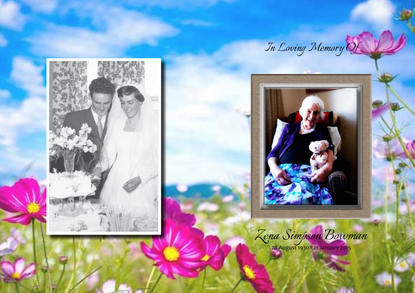